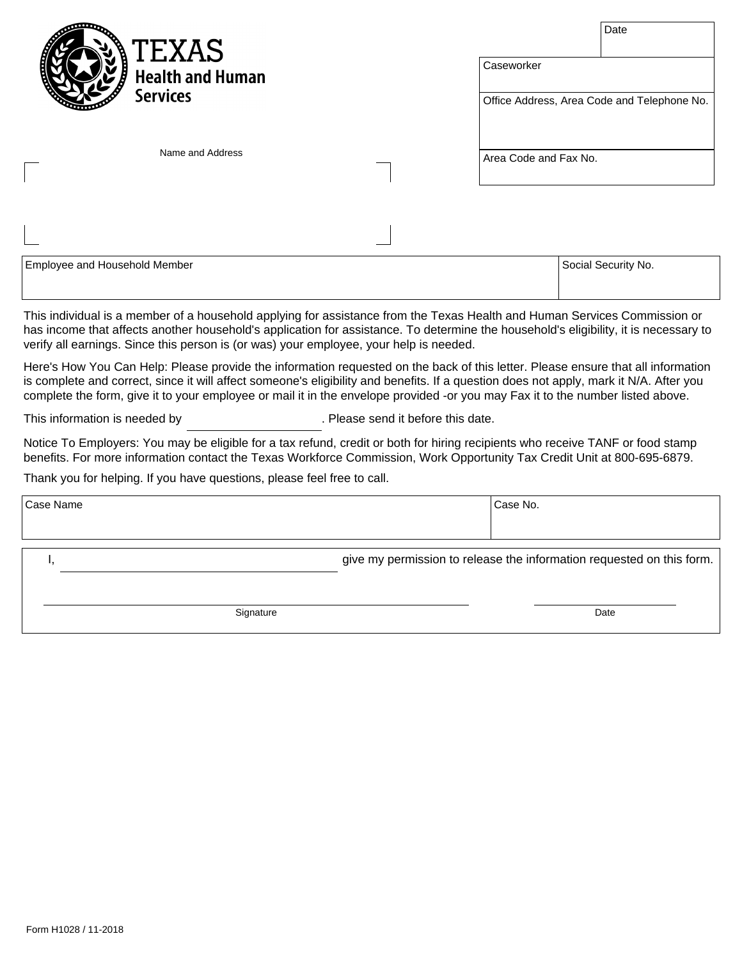| <b>TEXAS</b><br><b>Health and Human</b> | Date<br>Caseworker                          |
|-----------------------------------------|---------------------------------------------|
| <b>Services</b>                         | Office Address, Area Code and Telephone No. |
| Name and Address                        | Area Code and Fax No.                       |
|                                         |                                             |

| Employee and Household Member | Social Security No. |
|-------------------------------|---------------------|
|                               |                     |

This individual is a member of a household applying for assistance from the Texas Health and Human Services Commission or has income that affects another household's application for assistance. To determine the household's eligibility, it is necessary to verify all earnings. Since this person is (or was) your employee, your help is needed.

Here's How You Can Help: Please provide the information requested on the back of this letter. Please ensure that all information is complete and correct, since it will affect someone's eligibility and benefits. If a question does not apply, mark it N/A. After you complete the form, give it to your employee or mail it in the envelope provided -or you may Fax it to the number listed above.

This information is needed by **Example 20** Please send it before this date.

Notice To Employers: You may be eligible for a tax refund, credit or both for hiring recipients who receive TANF or food stamp benefits. For more information contact the Texas Workforce Commission, Work Opportunity Tax Credit Unit at 800-695-6879.

Thank you for helping. If you have questions, please feel free to call.

| Case Name | Case No. |                                                                       |
|-----------|----------|-----------------------------------------------------------------------|
|           |          |                                                                       |
|           |          | give my permission to release the information requested on this form. |
| Signature |          | Date                                                                  |